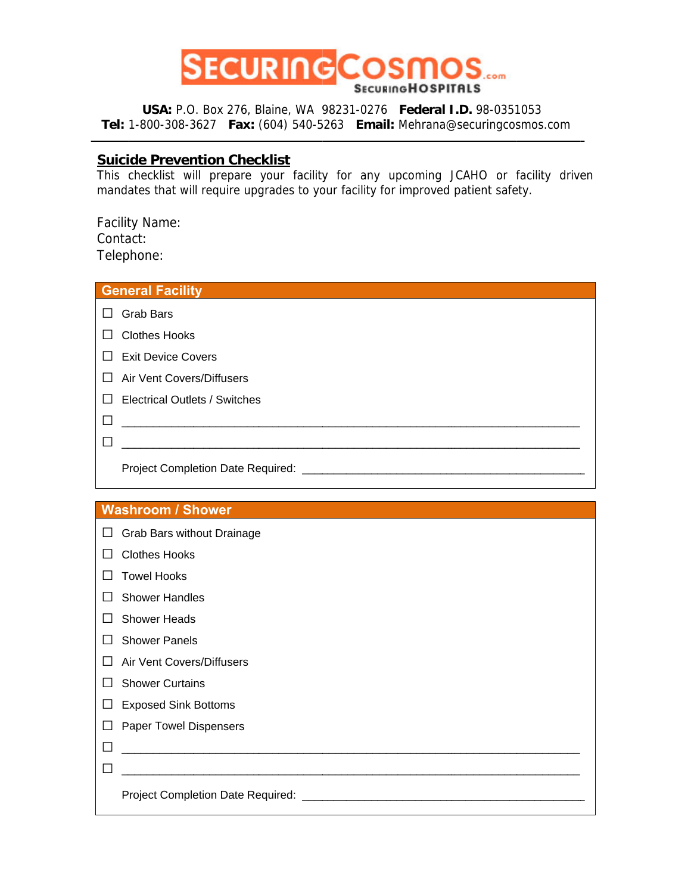

USA: P.O. Box 276, Blaine, WA 98231-0276 Federal I.D. 98-0351053 Tel: 1-800-308-3627 Fax: (604) 540-5263 Email: Mehrana@securingcosmos.com

## **Suicide Prevention Checklist**

This checklist will prepare your facility for any upcoming JCAHO or facility driven mandates that will require upgrades to your facility for improved patient safety.

**Facility Name:** Contact: Telephone:

| <b>General Facility</b>                   |  |  |
|-------------------------------------------|--|--|
| <b>Grab Bars</b><br>$\perp$               |  |  |
| <b>Clothes Hooks</b>                      |  |  |
| <b>Exit Device Covers</b><br>$\perp$      |  |  |
| Air Vent Covers/Diffusers                 |  |  |
| Electrical Outlets / Switches             |  |  |
|                                           |  |  |
|                                           |  |  |
| Project Completion Date Required: _______ |  |  |

## **Washroom / Shower**

| ப            | Grab Bars without Drainage    |
|--------------|-------------------------------|
|              | <b>Clothes Hooks</b>          |
|              | <b>Towel Hooks</b>            |
|              | <b>Shower Handles</b>         |
|              | <b>Shower Heads</b>           |
|              | <b>Shower Panels</b>          |
| $\mathsf{L}$ | Air Vent Covers/Diffusers     |
|              | <b>Shower Curtains</b>        |
|              | <b>Exposed Sink Bottoms</b>   |
| $\Box$       | <b>Paper Towel Dispensers</b> |
|              |                               |
|              |                               |
|              |                               |